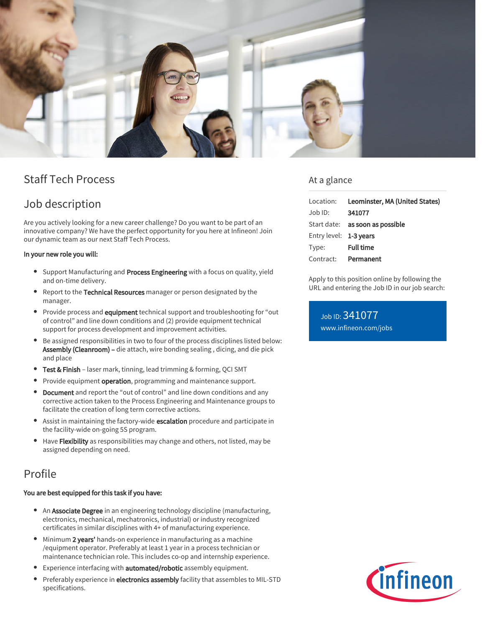

# Staff Tech Process

## Job description

Are you actively looking for a new career challenge? Do you want to be part of an innovative company? We have the perfect opportunity for you here at Infineon! Join our dynamic team as our next Staff Tech Process.

### In your new role you will:

- Support Manufacturing and Process Engineering with a focus on quality, yield and on-time delivery.
- **•** Report to the Technical Resources manager or person designated by the manager.
- **Provide process and equipment** technical support and troubleshooting for "out of control" and line down conditions and (2) provide equipment technical support for process development and improvement activities.
- Be assigned responsibilities in two to four of the process disciplines listed below: Assembly (Cleanroom) – die attach, wire bonding sealing, dicing, and die pick and place
- Test & Finish laser mark, tinning, lead trimming & forming, QCI SMT
- Provide equipment operation, programming and maintenance support.  $\bullet$
- Document and report the "out of control" and line down conditions and any  $\bullet$ corrective action taken to the Process Engineering and Maintenance groups to facilitate the creation of long term corrective actions.
- Assist in maintaining the factory-wide escalation procedure and participate in the facility-wide on-going 5S program.
- Have Flexibility as responsibilities may change and others, not listed, may be assigned depending on need.

## Profile

#### You are best equipped for this task if you have:

- An Associate Degree in an engineering technology discipline (manufacturing, electronics, mechanical, mechatronics, industrial) or industry recognized certificates in similar disciplines with 4+ of manufacturing experience.
- $\bullet$  Minimum 2 years' hands-on experience in manufacturing as a machine /equipment operator. Preferably at least 1 year in a process technician or maintenance technician role. This includes co-op and internship experience.
- Experience interfacing with **automated/robotic** assembly equipment.
- Preferably experience in electronics assembly facility that assembles to MIL-STD specifications.

### At a glance

| Leominster, MA (United States)<br>Location: |
|---------------------------------------------|
| 341077                                      |
| Start date: as soon as possible             |
| Entry level: 1-3 years                      |
| <b>Full time</b>                            |
| Permanent                                   |
|                                             |

Apply to this position online by following the URL and entering the Job ID in our job search:

Job ID: 341077 [www.infineon.com/jobs](https://www.infineon.com/jobs)

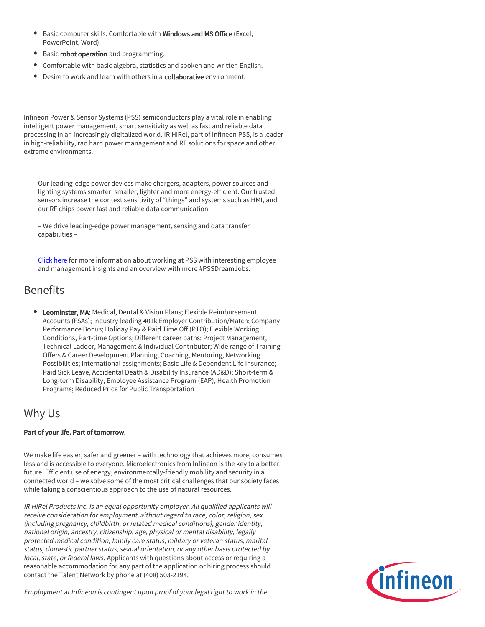- Basic computer skills. Comfortable with Windows and MS Office (Excel, PowerPoint, Word).
- **Basic robot operation** and programming.
- Comfortable with basic algebra, statistics and spoken and written English.
- Desire to work and learn with others in a **collaborative** environment.

Infineon Power & Sensor Systems (PSS) semiconductors play a vital role in enabling intelligent power management, smart sensitivity as well as fast and reliable data processing in an increasingly digitalized world. IR HiRel, part of Infineon PSS, is a leader in high-reliability, rad hard power management and RF solutions for space and other extreme environments.

Our leading-edge power devices make chargers, adapters, power sources and lighting systems smarter, smaller, lighter and more energy-efficient. Our trusted sensors increase the context sensitivity of "things" and systems such as HMI, and our RF chips power fast and reliable data communication.

– We drive leading-edge power management, sensing and data transfer capabilities –

[Click here](https://www.infineon.com/cms/en/careers/working-at-infineon/PSSDreamJob/) for more information about working at PSS with interesting employee and management insights and an overview with more #PSSDreamJobs.

## Benefits

**• Leominster, MA:** Medical, Dental & Vision Plans; Flexible Reimbursement Accounts (FSAs); Industry leading 401k Employer Contribution/Match; Company Performance Bonus; Holiday Pay & Paid Time Off (PTO); Flexible Working Conditions, Part-time Options; Different career paths: Project Management, Technical Ladder, Management & Individual Contributor; Wide range of Training Offers & Career Development Planning; Coaching, Mentoring, Networking Possibilities; International assignments; Basic Life & Dependent Life Insurance; Paid Sick Leave, Accidental Death & Disability Insurance (AD&D); Short-term & Long-term Disability; Employee Assistance Program (EAP); Health Promotion Programs; Reduced Price for Public Transportation

## Why Us

### Part of your life. Part of tomorrow.

We make life easier, safer and greener – with technology that achieves more, consumes less and is accessible to everyone. Microelectronics from Infineon is the key to a better future. Efficient use of energy, environmentally-friendly mobility and security in a connected world – we solve some of the most critical challenges that our society faces while taking a conscientious approach to the use of natural resources.

IR HiRel Products Inc. is an equal opportunity employer. All qualified applicants will receive consideration for employment without regard to race, color, religion, sex (including pregnancy, childbirth, or related medical conditions), gender identity, national origin, ancestry, citizenship, age, physical or mental disability, legally protected medical condition, family care status, military or veteran status, marital status, domestic partner status, sexual orientation, or any other basis protected by local, state, or federal laws. Applicants with questions about access or requiring a reasonable accommodation for any part of the application or hiring process should contact the Talent Network by phone at (408) 503-2194.